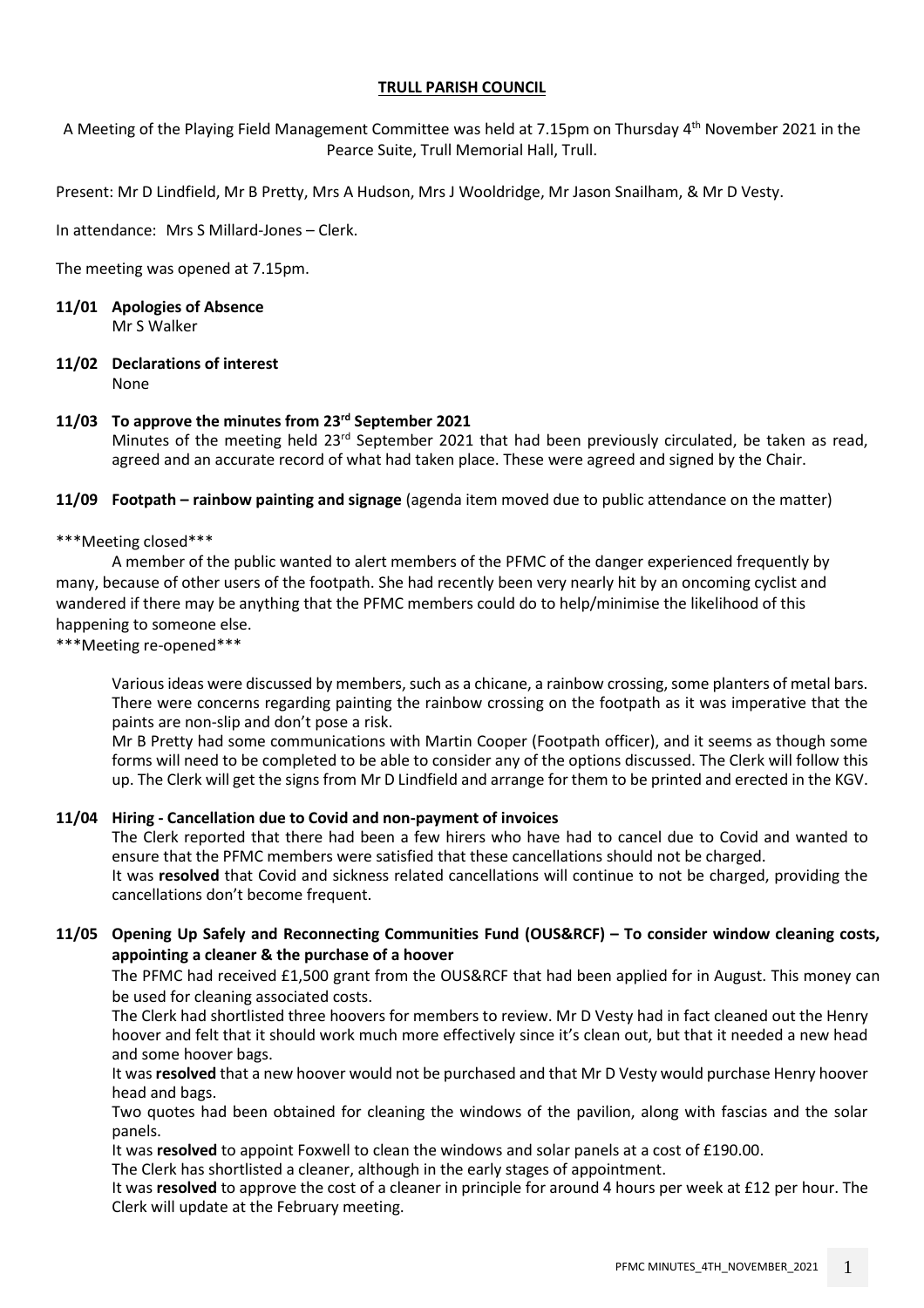# **TRULL PARISH COUNCIL**

A Meeting of the Playing Field Management Committee was held at 7.15pm on Thursday 4 th November 2021 in the Pearce Suite, Trull Memorial Hall, Trull.

Present: Mr D Lindfield, Mr B Pretty, Mrs A Hudson, Mrs J Wooldridge, Mr Jason Snailham, & Mr D Vesty.

In attendance: Mrs S Millard-Jones – Clerk.

The meeting was opened at 7.15pm.

- **11/01 Apologies of Absence** Mr S Walker
- **11/02 Declarations of interest** None

## **11/03 To approve the minutes from 23rd September 2021**

Minutes of the meeting held  $23<sup>rd</sup>$  September 2021 that had been previously circulated, be taken as read, agreed and an accurate record of what had taken place. These were agreed and signed by the Chair.

**11/09 Footpath – rainbow painting and signage** (agenda item moved due to public attendance on the matter)

\*\*\*Meeting closed\*\*\*

A member of the public wanted to alert members of the PFMC of the danger experienced frequently by many, because of other users of the footpath. She had recently been very nearly hit by an oncoming cyclist and wandered if there may be anything that the PFMC members could do to help/minimise the likelihood of this happening to someone else.

\*\*\*Meeting re-opened\*\*\*

Various ideas were discussed by members, such as a chicane, a rainbow crossing, some planters of metal bars. There were concerns regarding painting the rainbow crossing on the footpath as it was imperative that the paints are non-slip and don't pose a risk.

Mr B Pretty had some communications with Martin Cooper (Footpath officer), and it seems as though some forms will need to be completed to be able to consider any of the options discussed. The Clerk will follow this up. The Clerk will get the signs from Mr D Lindfield and arrange for them to be printed and erected in the KGV.

## **11/04 Hiring - Cancellation due to Covid and non-payment of invoices**

The Clerk reported that there had been a few hirers who have had to cancel due to Covid and wanted to ensure that the PFMC members were satisfied that these cancellations should not be charged. It was **resolved** that Covid and sickness related cancellations will continue to not be charged, providing the cancellations don't become frequent.

# **11/05 Opening Up Safely and Reconnecting Communities Fund (OUS&RCF) – To consider window cleaning costs, appointing a cleaner & the purchase of a hoover**

The PFMC had received £1,500 grant from the OUS&RCF that had been applied for in August. This money can be used for cleaning associated costs.

The Clerk had shortlisted three hoovers for members to review. Mr D Vesty had in fact cleaned out the Henry hoover and felt that it should work much more effectively since it's clean out, but that it needed a new head and some hoover bags.

It was **resolved** that a new hoover would not be purchased and that Mr D Vesty would purchase Henry hoover head and bags.

Two quotes had been obtained for cleaning the windows of the pavilion, along with fascias and the solar panels.

It was **resolved** to appoint Foxwell to clean the windows and solar panels at a cost of £190.00.

The Clerk has shortlisted a cleaner, although in the early stages of appointment.

It was **resolved** to approve the cost of a cleaner in principle for around 4 hours per week at £12 per hour. The Clerk will update at the February meeting.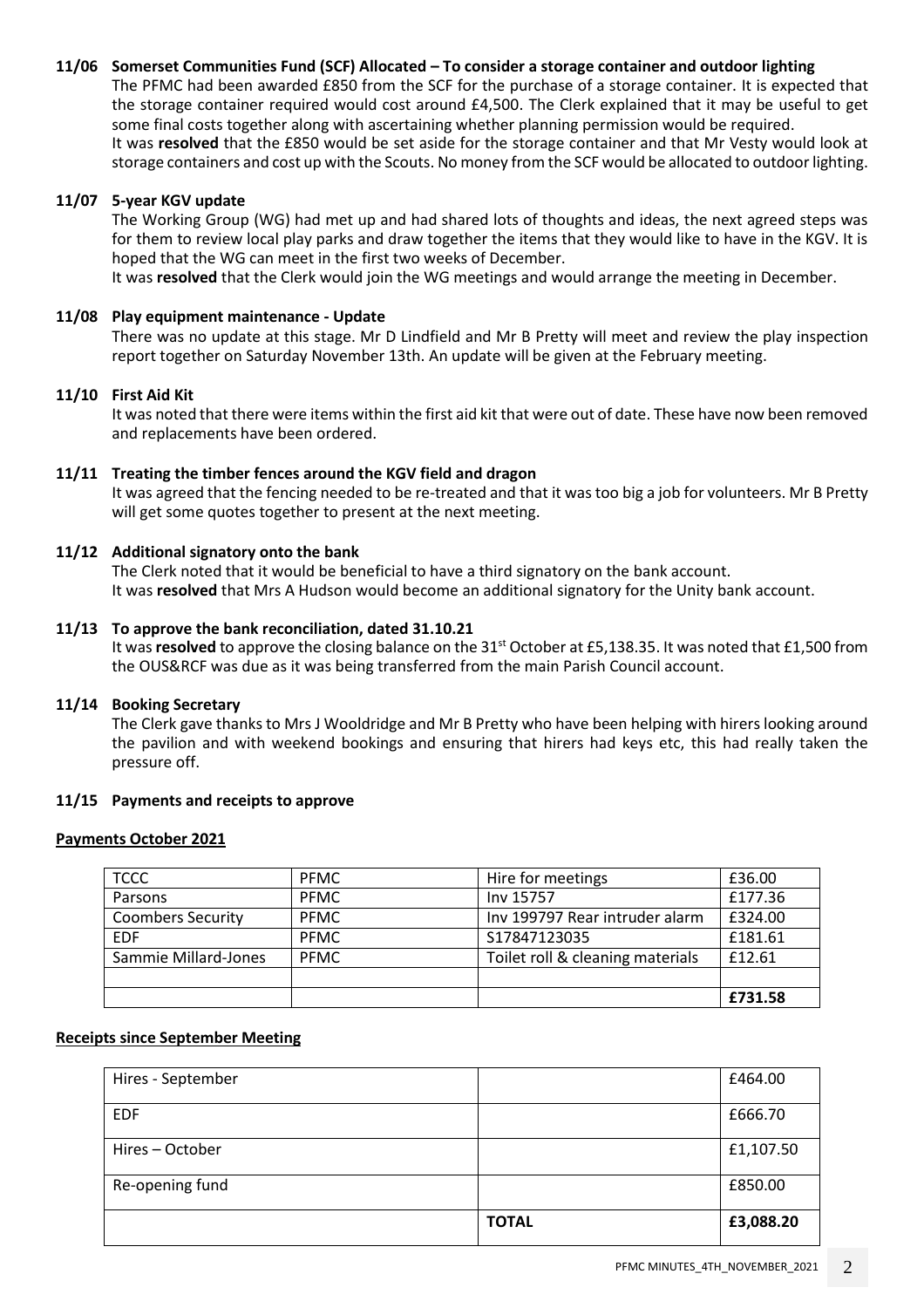## **11/06 Somerset Communities Fund (SCF) Allocated – To consider a storage container and outdoor lighting**

The PFMC had been awarded £850 from the SCF for the purchase of a storage container. It is expected that the storage container required would cost around £4,500. The Clerk explained that it may be useful to get some final costs together along with ascertaining whether planning permission would be required. It was **resolved** that the £850 would be set aside for the storage container and that Mr Vesty would look at storage containers and cost up with the Scouts. No money from the SCF would be allocated to outdoor lighting.

### **11/07 5-year KGV update**

The Working Group (WG) had met up and had shared lots of thoughts and ideas, the next agreed steps was for them to review local play parks and draw together the items that they would like to have in the KGV. It is hoped that the WG can meet in the first two weeks of December.

It was **resolved** that the Clerk would join the WG meetings and would arrange the meeting in December.

#### **11/08 Play equipment maintenance - Update**

There was no update at this stage. Mr D Lindfield and Mr B Pretty will meet and review the play inspection report together on Saturday November 13th. An update will be given at the February meeting.

### **11/10 First Aid Kit**

It was noted that there were items within the first aid kit that were out of date. These have now been removed and replacements have been ordered.

### **11/11 Treating the timber fences around the KGV field and dragon**

It was agreed that the fencing needed to be re-treated and that it was too big a job for volunteers. Mr B Pretty will get some quotes together to present at the next meeting.

## **11/12 Additional signatory onto the bank**

The Clerk noted that it would be beneficial to have a third signatory on the bank account. It was **resolved** that Mrs A Hudson would become an additional signatory for the Unity bank account.

### **11/13 To approve the bank reconciliation, dated 31.10.21**

It was **resolved** to approve the closing balance on the 31<sup>st</sup> October at £5,138.35. It was noted that £1,500 from the OUS&RCF was due as it was being transferred from the main Parish Council account.

#### **11/14 Booking Secretary**

The Clerk gave thanks to Mrs J Wooldridge and Mr B Pretty who have been helping with hirers looking around the pavilion and with weekend bookings and ensuring that hirers had keys etc, this had really taken the pressure off.

#### **11/15 Payments and receipts to approve**

#### **Payments October 2021**

| <b>TCCC</b>              | <b>PFMC</b> | Hire for meetings                | £36.00  |
|--------------------------|-------------|----------------------------------|---------|
| Parsons                  | <b>PFMC</b> | Inv 15757                        | £177.36 |
| <b>Coombers Security</b> | <b>PFMC</b> | Inv 199797 Rear intruder alarm   | £324.00 |
| <b>EDF</b>               | <b>PFMC</b> | S17847123035                     | £181.61 |
| Sammie Millard-Jones     | <b>PFMC</b> | Toilet roll & cleaning materials | £12.61  |
|                          |             |                                  |         |
|                          |             |                                  | £731.58 |

#### **Receipts since September Meeting**

| Hires - September |              | £464.00   |
|-------------------|--------------|-----------|
| <b>EDF</b>        |              | £666.70   |
| Hires - October   |              | £1,107.50 |
| Re-opening fund   |              | £850.00   |
|                   | <b>TOTAL</b> | £3,088.20 |